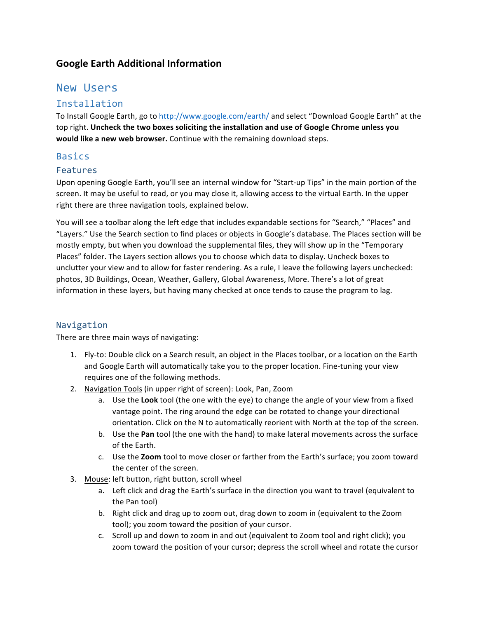## **Google Earth Additional Information**

# New Users

## Installation

To Install Google Earth, go to http://www.google.com/earth/ and select "Download Google Earth" at the top right. Uncheck the two boxes soliciting the installation and use of Google Chrome unless you would like a new web browser. Continue with the remaining download steps.

### Basics

#### Features

Upon opening Google Earth, you'll see an internal window for "Start-up Tips" in the main portion of the screen. It may be useful to read, or you may close it, allowing access to the virtual Earth. In the upper right there are three navigation tools, explained below.

You will see a toolbar along the left edge that includes expandable sections for "Search," "Places" and "Layers." Use the Search section to find places or objects in Google's database. The Places section will be mostly empty, but when you download the supplemental files, they will show up in the "Temporary Places" folder. The Layers section allows you to choose which data to display. Uncheck boxes to unclutter your view and to allow for faster rendering. As a rule, I leave the following layers unchecked: photos, 3D Buildings, Ocean, Weather, Gallery, Global Awareness, More. There's a lot of great information in these layers, but having many checked at once tends to cause the program to lag.

#### Navigation

There are three main ways of navigating:

- 1. Fly-to: Double click on a Search result, an object in the Places toolbar, or a location on the Earth and Google Earth will automatically take you to the proper location. Fine-tuning your view requires one of the following methods.
- 2. Navigation Tools (in upper right of screen): Look, Pan, Zoom
	- a. Use the Look tool (the one with the eye) to change the angle of your view from a fixed vantage point. The ring around the edge can be rotated to change your directional orientation. Click on the N to automatically reorient with North at the top of the screen.
	- b. Use the Pan tool (the one with the hand) to make lateral movements across the surface of the Earth.
	- c. Use the **Zoom** tool to move closer or farther from the Earth's surface; you zoom toward the center of the screen.
- 3. Mouse: left button, right button, scroll wheel
	- a. Left click and drag the Earth's surface in the direction you want to travel (equivalent to the Pan tool)
	- b. Right click and drag up to zoom out, drag down to zoom in (equivalent to the Zoom tool); you zoom toward the position of your cursor.
	- c. Scroll up and down to zoom in and out (equivalent to Zoom tool and right click); you zoom toward the position of your cursor; depress the scroll wheel and rotate the cursor